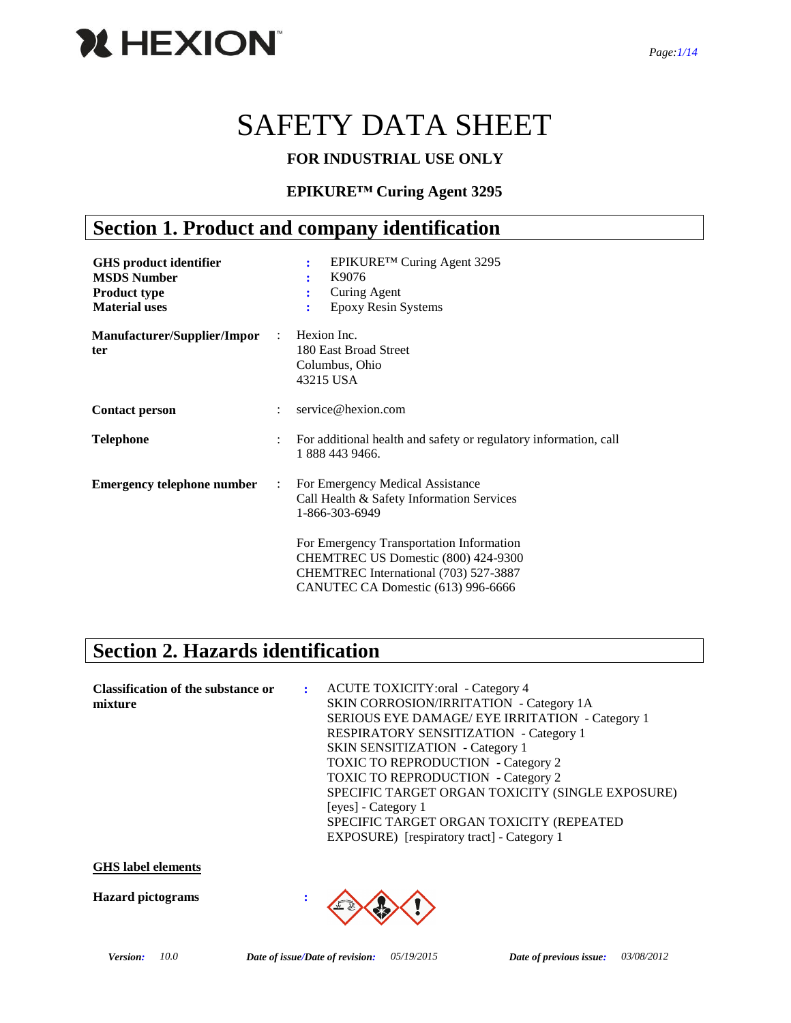

# SAFETY DATA SHEET

### **FOR INDUSTRIAL USE ONLY**

### **EPIKURE™ Curing Agent 3295**

# **Section 1. Product and company identification**

| <b>GHS</b> product identifier<br><b>MSDS Number</b><br><b>Product type</b><br><b>Material uses</b> |                      | EPIKURE™ Curing Agent 3295<br>÷<br>K9076<br>Curing Agent<br>Epoxy Resin Systems<br>÷                                                                           |
|----------------------------------------------------------------------------------------------------|----------------------|----------------------------------------------------------------------------------------------------------------------------------------------------------------|
| Manufacturer/Supplier/Impor<br>ter                                                                 | $\mathcal{L}$        | Hexion Inc.<br>180 East Broad Street<br>Columbus, Ohio<br>43215 USA                                                                                            |
| <b>Contact person</b>                                                                              |                      | service@hexion.com                                                                                                                                             |
| <b>Telephone</b>                                                                                   | $\ddot{\phantom{a}}$ | For additional health and safety or regulatory information, call<br>1 888 443 9466.                                                                            |
| <b>Emergency telephone number</b>                                                                  | $\ddot{\cdot}$       | For Emergency Medical Assistance<br>Call Health & Safety Information Services<br>1-866-303-6949                                                                |
|                                                                                                    |                      | For Emergency Transportation Information<br>CHEMTREC US Domestic (800) 424-9300<br>CHEMTREC International (703) 527-3887<br>CANUTEC CA Domestic (613) 996-6666 |

# **Section 2. Hazards identification**

| <b>Classification of the substance or</b> | : ACUTE TOXICITY: oral - Category 4              |
|-------------------------------------------|--------------------------------------------------|
| mixture                                   | SKIN CORROSION/IRRITATION - Category 1A          |
|                                           | SERIOUS EYE DAMAGE/ EYE IRRITATION - Category 1  |
|                                           | <b>RESPIRATORY SENSITIZATION - Category 1</b>    |
|                                           | <b>SKIN SENSITIZATION</b> - Category 1           |
|                                           | <b>TOXIC TO REPRODUCTION</b> - Category 2        |
|                                           | <b>TOXIC TO REPRODUCTION</b> - Category 2        |
|                                           | SPECIFIC TARGET ORGAN TOXICITY (SINGLE EXPOSURE) |
|                                           | [eyes] - Category 1                              |
|                                           | SPECIFIC TARGET ORGAN TOXICITY (REPEATED         |
|                                           | EXPOSURE) [respiratory tract] - Category 1       |

### **GHS label elements**

**Hazard pictograms :**

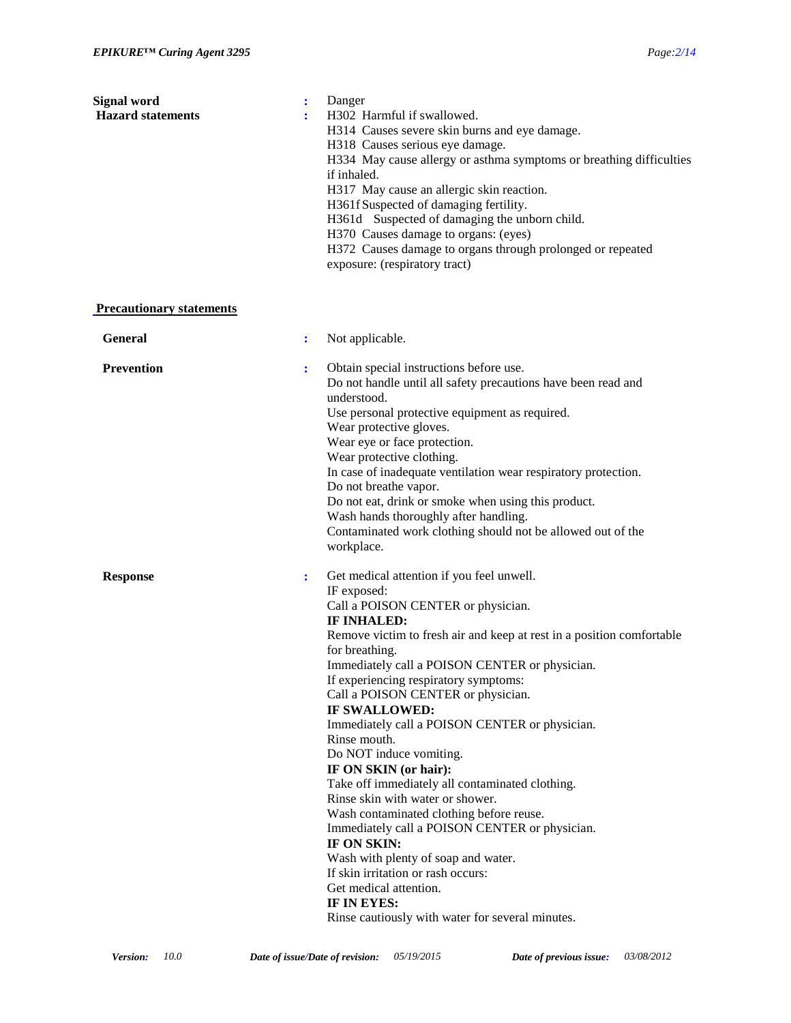| Signal word<br><b>Hazard statements</b> | $\ddot{\cdot}$<br>Danger<br>H302 Harmful if swallowed.<br>÷<br>H314 Causes severe skin burns and eye damage.<br>H318 Causes serious eye damage.<br>H334 May cause allergy or asthma symptoms or breathing difficulties<br>if inhaled.<br>H317 May cause an allergic skin reaction.<br>H361f Suspected of damaging fertility.<br>H361d Suspected of damaging the unborn child.<br>H370 Causes damage to organs: (eyes)<br>H372 Causes damage to organs through prolonged or repeated<br>exposure: (respiratory tract)                                                                                                                                                                                                                                                                                                                                                             |
|-----------------------------------------|----------------------------------------------------------------------------------------------------------------------------------------------------------------------------------------------------------------------------------------------------------------------------------------------------------------------------------------------------------------------------------------------------------------------------------------------------------------------------------------------------------------------------------------------------------------------------------------------------------------------------------------------------------------------------------------------------------------------------------------------------------------------------------------------------------------------------------------------------------------------------------|
| <b>Precautionary statements</b>         |                                                                                                                                                                                                                                                                                                                                                                                                                                                                                                                                                                                                                                                                                                                                                                                                                                                                                  |
| <b>General</b>                          | Not applicable.<br>$\ddot{\cdot}$                                                                                                                                                                                                                                                                                                                                                                                                                                                                                                                                                                                                                                                                                                                                                                                                                                                |
| <b>Prevention</b>                       | Obtain special instructions before use.<br>÷<br>Do not handle until all safety precautions have been read and<br>understood.<br>Use personal protective equipment as required.<br>Wear protective gloves.<br>Wear eye or face protection.<br>Wear protective clothing.<br>In case of inadequate ventilation wear respiratory protection.<br>Do not breathe vapor.<br>Do not eat, drink or smoke when using this product.<br>Wash hands thoroughly after handling.<br>Contaminated work clothing should not be allowed out of the<br>workplace.                                                                                                                                                                                                                                                                                                                                   |
| <b>Response</b>                         | Get medical attention if you feel unwell.<br>$\ddot{\cdot}$<br>IF exposed:<br>Call a POISON CENTER or physician.<br>IF INHALED:<br>Remove victim to fresh air and keep at rest in a position comfortable<br>for breathing.<br>Immediately call a POISON CENTER or physician.<br>If experiencing respiratory symptoms:<br>Call a POISON CENTER or physician.<br>IF SWALLOWED:<br>Immediately call a POISON CENTER or physician.<br>Rinse mouth.<br>Do NOT induce vomiting.<br>IF ON SKIN (or hair):<br>Take off immediately all contaminated clothing.<br>Rinse skin with water or shower.<br>Wash contaminated clothing before reuse.<br>Immediately call a POISON CENTER or physician.<br>IF ON SKIN:<br>Wash with plenty of soap and water.<br>If skin irritation or rash occurs:<br>Get medical attention.<br>IF IN EYES:<br>Rinse cautiously with water for several minutes. |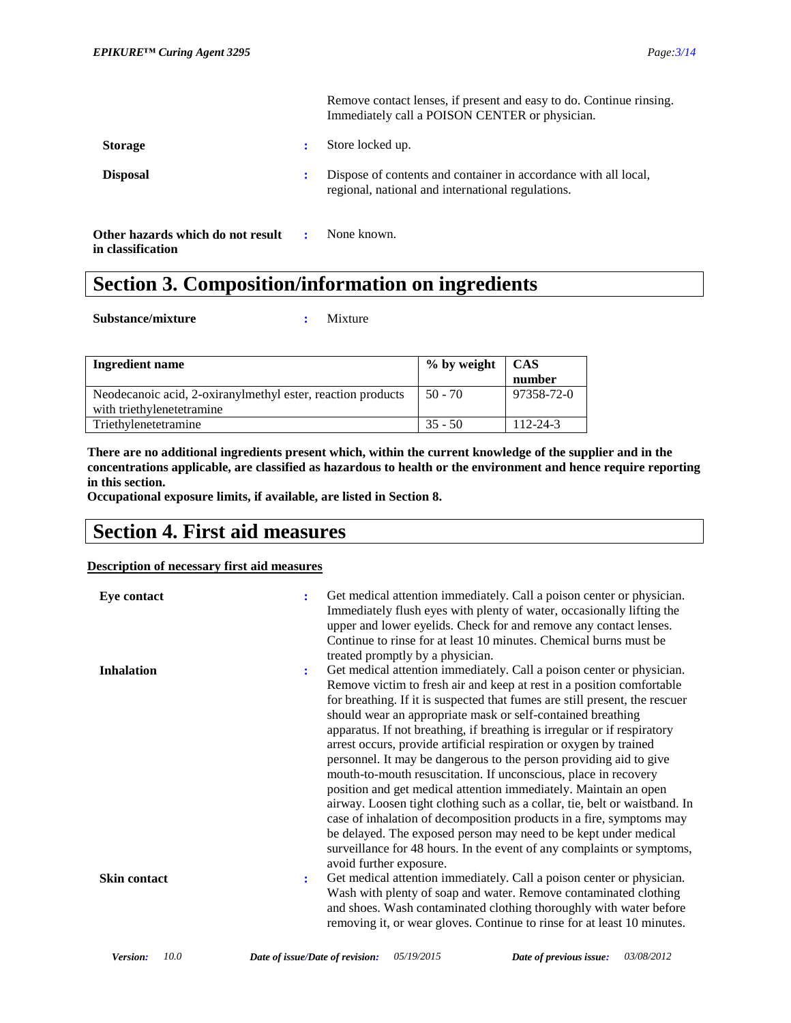Remove contact lenses, if present and easy to do. Continue rinsing. Immediately call a POISON CENTER or physician.

| <b>Storage</b>                                         |              | Store locked up.                                                                                                     |
|--------------------------------------------------------|--------------|----------------------------------------------------------------------------------------------------------------------|
| <b>Disposal</b>                                        |              | Dispose of contents and container in accordance with all local,<br>regional, national and international regulations. |
| Other hazards which do not result<br>in classification | $\mathbf{r}$ | None known.                                                                                                          |

# **Section 3. Composition/information on ingredients**

**Substance/mixture :** Mixture

| Ingredient name                                             | % by weight   CAS |                |
|-------------------------------------------------------------|-------------------|----------------|
|                                                             |                   | number         |
| Neodecanoic acid, 2-oxiranylmethyl ester, reaction products | $50 - 70$         | 97358-72-0     |
| with triethylenetetramine                                   |                   |                |
| Triethylenetetramine                                        | $35 - 50$         | $112 - 24 - 3$ |

**There are no additional ingredients present which, within the current knowledge of the supplier and in the concentrations applicable, are classified as hazardous to health or the environment and hence require reporting in this section.**

**Occupational exposure limits, if available, are listed in Section 8.**

# **Section 4. First aid measures**

#### **Description of necessary first aid measures**

| Eye contact         | ÷              | Get medical attention immediately. Call a poison center or physician.<br>Immediately flush eyes with plenty of water, occasionally lifting the<br>upper and lower eyelids. Check for and remove any contact lenses.<br>Continue to rinse for at least 10 minutes. Chemical burns must be<br>treated promptly by a physician.                                                                                                                                                                                                                                                                                                                                                                                                                                                                                                                                                                                                                                                               |
|---------------------|----------------|--------------------------------------------------------------------------------------------------------------------------------------------------------------------------------------------------------------------------------------------------------------------------------------------------------------------------------------------------------------------------------------------------------------------------------------------------------------------------------------------------------------------------------------------------------------------------------------------------------------------------------------------------------------------------------------------------------------------------------------------------------------------------------------------------------------------------------------------------------------------------------------------------------------------------------------------------------------------------------------------|
| <b>Inhalation</b>   | $\ddot{\cdot}$ | Get medical attention immediately. Call a poison center or physician.<br>Remove victim to fresh air and keep at rest in a position comfortable<br>for breathing. If it is suspected that fumes are still present, the rescuer<br>should wear an appropriate mask or self-contained breathing<br>apparatus. If not breathing, if breathing is irregular or if respiratory<br>arrest occurs, provide artificial respiration or oxygen by trained<br>personnel. It may be dangerous to the person providing aid to give<br>mouth-to-mouth resuscitation. If unconscious, place in recovery<br>position and get medical attention immediately. Maintain an open<br>airway. Loosen tight clothing such as a collar, tie, belt or waistband. In<br>case of inhalation of decomposition products in a fire, symptoms may<br>be delayed. The exposed person may need to be kept under medical<br>surveillance for 48 hours. In the event of any complaints or symptoms,<br>avoid further exposure. |
| <b>Skin contact</b> | :              | Get medical attention immediately. Call a poison center or physician.<br>Wash with plenty of soap and water. Remove contaminated clothing<br>and shoes. Wash contaminated clothing thoroughly with water before<br>removing it, or wear gloves. Continue to rinse for at least 10 minutes.                                                                                                                                                                                                                                                                                                                                                                                                                                                                                                                                                                                                                                                                                                 |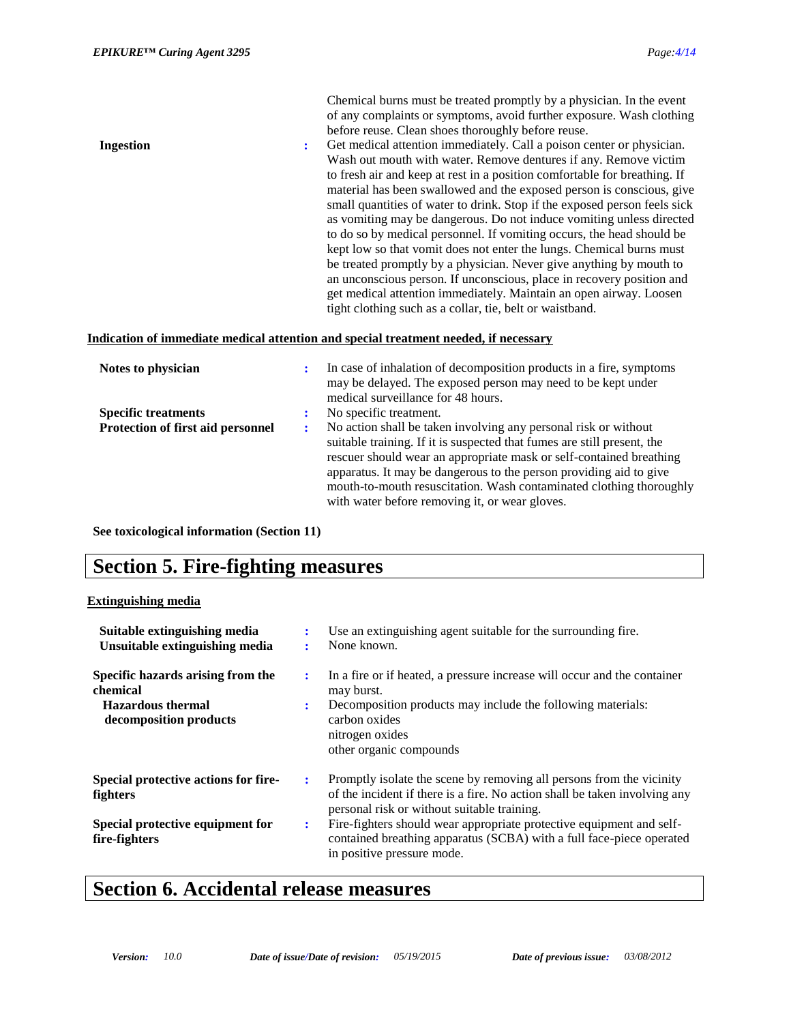of any complaints or symptoms, avoid further exposure. Wash clothing before reuse. Clean shoes thoroughly before reuse. **Ingestion :** Get medical attention immediately. Call a poison center or physician. Wash out mouth with water. Remove dentures if any. Remove victim to fresh air and keep at rest in a position comfortable for breathing. If material has been swallowed and the exposed person is conscious, give small quantities of water to drink. Stop if the exposed person feels sick as vomiting may be dangerous. Do not induce vomiting unless directed to do so by medical personnel. If vomiting occurs, the head should be kept low so that vomit does not enter the lungs. Chemical burns must be treated promptly by a physician. Never give anything by mouth to an unconscious person. If unconscious, place in recovery position and get medical attention immediately. Maintain an open airway. Loosen tight clothing such as a collar, tie, belt or waistband.

Chemical burns must be treated promptly by a physician. In the event

#### **Indication of immediate medical attention and special treatment needed, if necessary**

| Notes to physician                       | ÷ | In case of inhalation of decomposition products in a fire, symptoms<br>may be delayed. The exposed person may need to be kept under<br>medical surveillance for 48 hours.                                                                                                                                                                                                                                        |
|------------------------------------------|---|------------------------------------------------------------------------------------------------------------------------------------------------------------------------------------------------------------------------------------------------------------------------------------------------------------------------------------------------------------------------------------------------------------------|
| <b>Specific treatments</b>               |   | No specific treatment.                                                                                                                                                                                                                                                                                                                                                                                           |
| <b>Protection of first aid personnel</b> | ٠ | No action shall be taken involving any personal risk or without<br>suitable training. If it is suspected that fumes are still present, the<br>rescuer should wear an appropriate mask or self-contained breathing<br>apparatus. It may be dangerous to the person providing aid to give<br>mouth-to-mouth resuscitation. Wash contaminated clothing thoroughly<br>with water before removing it, or wear gloves. |

**See toxicological information (Section 11)**

### **Section 5. Fire-fighting measures**

#### **Extinguishing media**

| Suitable extinguishing media<br>Unsuitable extinguishing media                                      | $\bullet$ | Use an extinguishing agent suitable for the surrounding fire.<br>None known.                                                                                                                                         |
|-----------------------------------------------------------------------------------------------------|-----------|----------------------------------------------------------------------------------------------------------------------------------------------------------------------------------------------------------------------|
| Specific hazards arising from the<br>chemical<br><b>Hazardous thermal</b><br>decomposition products | ٠.<br>÷   | In a fire or if heated, a pressure increase will occur and the container<br>may burst.<br>Decomposition products may include the following materials:<br>carbon oxides<br>nitrogen oxides<br>other organic compounds |
| Special protective actions for fire-<br>fighters                                                    | ÷         | Promptly isolate the scene by removing all persons from the vicinity<br>of the incident if there is a fire. No action shall be taken involving any<br>personal risk or without suitable training.                    |
| Special protective equipment for<br>fire-fighters                                                   | ٠.        | Fire-fighters should wear appropriate protective equipment and self-<br>contained breathing apparatus (SCBA) with a full face-piece operated<br>in positive pressure mode.                                           |

### **Section 6. Accidental release measures**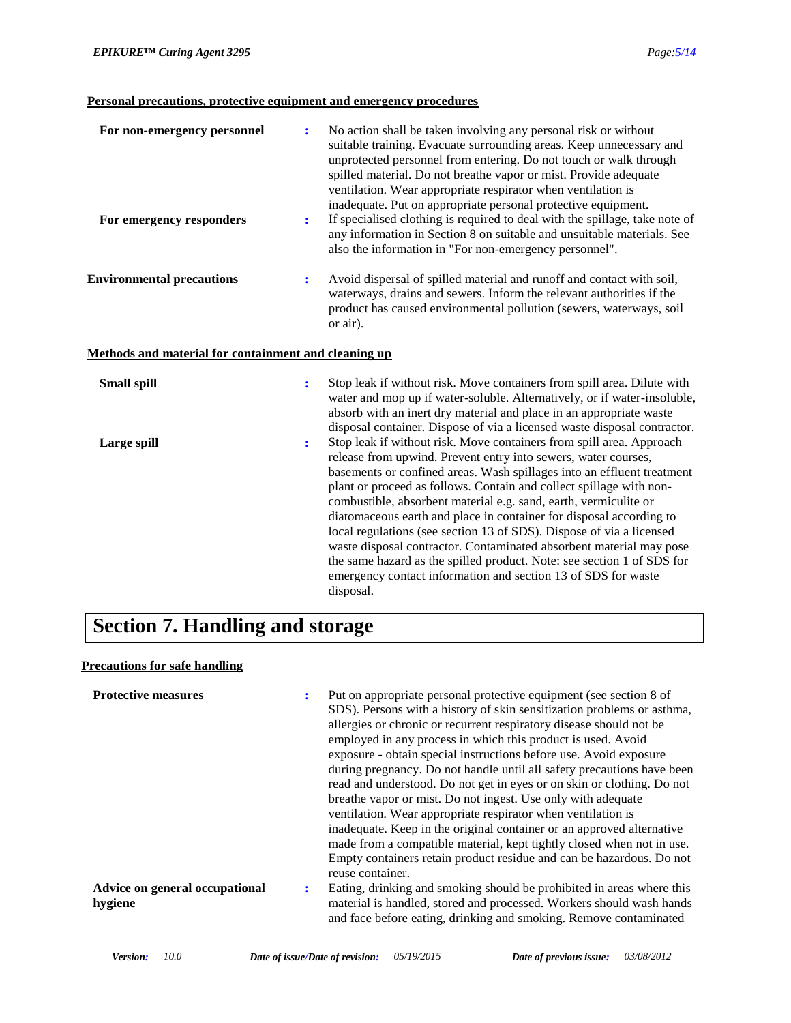### **Personal precautions, protective equipment and emergency procedures**

| For non-emergency personnel<br>For emergency responders | $\ddot{\phantom{a}}$<br>÷ | No action shall be taken involving any personal risk or without<br>suitable training. Evacuate surrounding areas. Keep unnecessary and<br>unprotected personnel from entering. Do not touch or walk through<br>spilled material. Do not breathe vapor or mist. Provide adequate<br>ventilation. Wear appropriate respirator when ventilation is<br>inadequate. Put on appropriate personal protective equipment.<br>If specialised clothing is required to deal with the spillage, take note of<br>any information in Section 8 on suitable and unsuitable materials. See<br>also the information in "For non-emergency personnel". |
|---------------------------------------------------------|---------------------------|-------------------------------------------------------------------------------------------------------------------------------------------------------------------------------------------------------------------------------------------------------------------------------------------------------------------------------------------------------------------------------------------------------------------------------------------------------------------------------------------------------------------------------------------------------------------------------------------------------------------------------------|
| <b>Environmental precautions</b>                        | ÷                         | Avoid dispersal of spilled material and runoff and contact with soil,<br>waterways, drains and sewers. Inform the relevant authorities if the<br>product has caused environmental pollution (sewers, waterways, soil<br>or air).                                                                                                                                                                                                                                                                                                                                                                                                    |
| Methods and material for containment and cleaning up    |                           |                                                                                                                                                                                                                                                                                                                                                                                                                                                                                                                                                                                                                                     |
| <b>Small spill</b>                                      | ÷                         | Stop leak if without risk. Move containers from spill area. Dilute with<br>water and mop up if water-soluble. Alternatively, or if water-insoluble,<br>absorb with an inert dry material and place in an appropriate waste<br>disposal container. Dispose of via a licensed waste disposal contractor.                                                                                                                                                                                                                                                                                                                              |

| Large spill | Stop leak if without risk. Move containers from spill area. Approach<br>÷<br>release from upwind. Prevent entry into sewers, water courses, |
|-------------|---------------------------------------------------------------------------------------------------------------------------------------------|
|             | basements or confined areas. Wash spillages into an effluent treatment                                                                      |
|             | plant or proceed as follows. Contain and collect spillage with non-                                                                         |
|             | combustible, absorbent material e.g. sand, earth, vermiculite or                                                                            |
|             | diatomaceous earth and place in container for disposal according to                                                                         |
|             | local regulations (see section 13 of SDS). Dispose of via a licensed                                                                        |
|             | waste disposal contractor. Contaminated absorbent material may pose                                                                         |
|             | the same hazard as the spilled product. Note: see section 1 of SDS for                                                                      |
|             | emergency contact information and section 13 of SDS for waste                                                                               |
|             | disposal.                                                                                                                                   |

# **Section 7. Handling and storage**

### **Precautions for safe handling**

| <b>Protective measures</b>                |   | Put on appropriate personal protective equipment (see section 8 of<br>SDS). Persons with a history of skin sensitization problems or asthma,<br>allergies or chronic or recurrent respiratory disease should not be<br>employed in any process in which this product is used. Avoid<br>exposure - obtain special instructions before use. Avoid exposure<br>during pregnancy. Do not handle until all safety precautions have been<br>read and understood. Do not get in eyes or on skin or clothing. Do not<br>breathe vapor or mist. Do not ingest. Use only with a dequate<br>ventilation. Wear appropriate respirator when ventilation is<br>inadequate. Keep in the original container or an approved alternative<br>made from a compatible material, kept tightly closed when not in use.<br>Empty containers retain product residue and can be hazardous. Do not<br>reuse container. |
|-------------------------------------------|---|---------------------------------------------------------------------------------------------------------------------------------------------------------------------------------------------------------------------------------------------------------------------------------------------------------------------------------------------------------------------------------------------------------------------------------------------------------------------------------------------------------------------------------------------------------------------------------------------------------------------------------------------------------------------------------------------------------------------------------------------------------------------------------------------------------------------------------------------------------------------------------------------|
| Advice on general occupational<br>hygiene | : | Eating, drinking and smoking should be prohibited in areas where this<br>material is handled, stored and processed. Workers should wash hands<br>and face before eating, drinking and smoking. Remove contaminated                                                                                                                                                                                                                                                                                                                                                                                                                                                                                                                                                                                                                                                                          |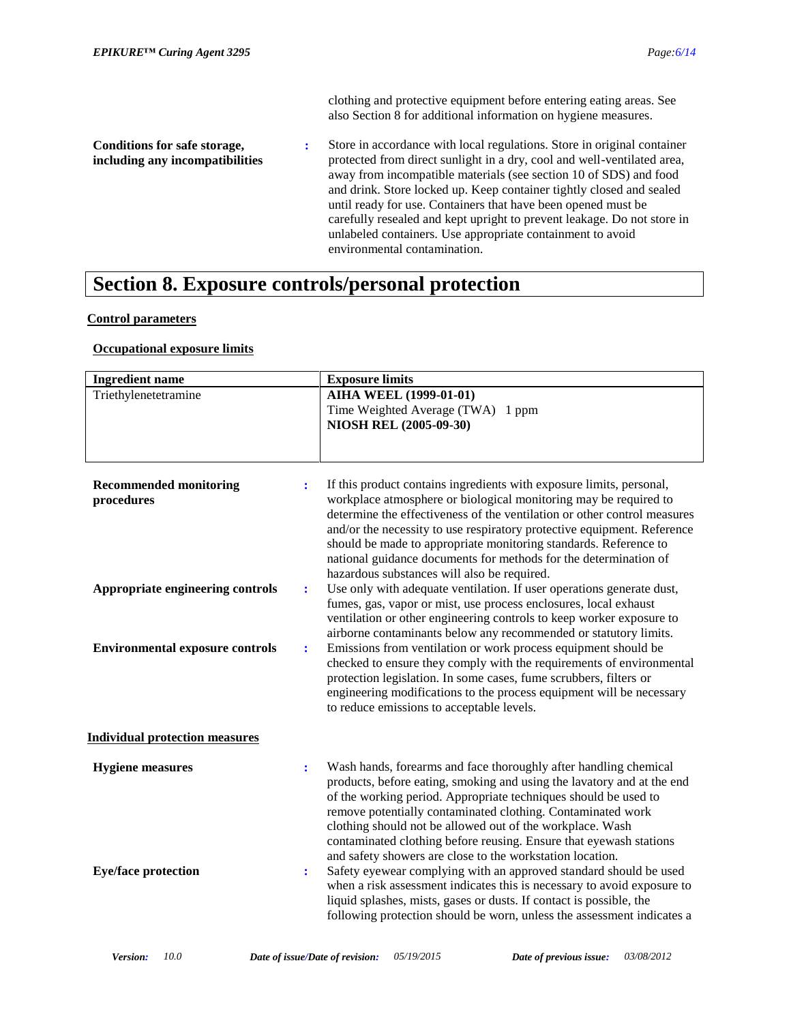clothing and protective equipment before entering eating areas. See also Section 8 for additional information on hygiene measures.

**Conditions for safe storage, including any incompatibilities :** Store in accordance with local regulations. Store in original container protected from direct sunlight in a dry, cool and well-ventilated area, away from incompatible materials (see section 10 of SDS) and food and drink. Store locked up. Keep container tightly closed and sealed until ready for use. Containers that have been opened must be carefully resealed and kept upright to prevent leakage. Do not store in unlabeled containers. Use appropriate containment to avoid environmental contamination.

### **Section 8. Exposure controls/personal protection**

### **Control parameters**

### **Occupational exposure limits**

| <b>Ingredient name</b>                      |                      | <b>Exposure limits</b>                                                                                                                                                                                                                                                                                                                                                                                                                                                                 |
|---------------------------------------------|----------------------|----------------------------------------------------------------------------------------------------------------------------------------------------------------------------------------------------------------------------------------------------------------------------------------------------------------------------------------------------------------------------------------------------------------------------------------------------------------------------------------|
| Triethylenetetramine                        |                      | <b>AIHA WEEL (1999-01-01)</b><br>Time Weighted Average (TWA) 1 ppm<br>NIOSH REL (2005-09-30)                                                                                                                                                                                                                                                                                                                                                                                           |
| <b>Recommended monitoring</b><br>procedures | ÷                    | If this product contains ingredients with exposure limits, personal,<br>workplace atmosphere or biological monitoring may be required to<br>determine the effectiveness of the ventilation or other control measures<br>and/or the necessity to use respiratory protective equipment. Reference<br>should be made to appropriate monitoring standards. Reference to<br>national guidance documents for methods for the determination of<br>hazardous substances will also be required. |
| Appropriate engineering controls            | ÷                    | Use only with adequate ventilation. If user operations generate dust,<br>fumes, gas, vapor or mist, use process enclosures, local exhaust<br>ventilation or other engineering controls to keep worker exposure to<br>airborne contaminants below any recommended or statutory limits.                                                                                                                                                                                                  |
| <b>Environmental exposure controls</b>      | ÷                    | Emissions from ventilation or work process equipment should be<br>checked to ensure they comply with the requirements of environmental<br>protection legislation. In some cases, fume scrubbers, filters or<br>engineering modifications to the process equipment will be necessary<br>to reduce emissions to acceptable levels.                                                                                                                                                       |
| <b>Individual protection measures</b>       |                      |                                                                                                                                                                                                                                                                                                                                                                                                                                                                                        |
| <b>Hygiene</b> measures                     | $\ddot{\phantom{a}}$ | Wash hands, forearms and face thoroughly after handling chemical<br>products, before eating, smoking and using the lavatory and at the end<br>of the working period. Appropriate techniques should be used to<br>remove potentially contaminated clothing. Contaminated work<br>clothing should not be allowed out of the workplace. Wash<br>contaminated clothing before reusing. Ensure that eyewash stations<br>and safety showers are close to the workstation location.           |
| <b>Eye/face protection</b>                  | $\ddot{\cdot}$       | Safety eyewear complying with an approved standard should be used<br>when a risk assessment indicates this is necessary to avoid exposure to<br>liquid splashes, mists, gases or dusts. If contact is possible, the<br>following protection should be worn, unless the assessment indicates a                                                                                                                                                                                          |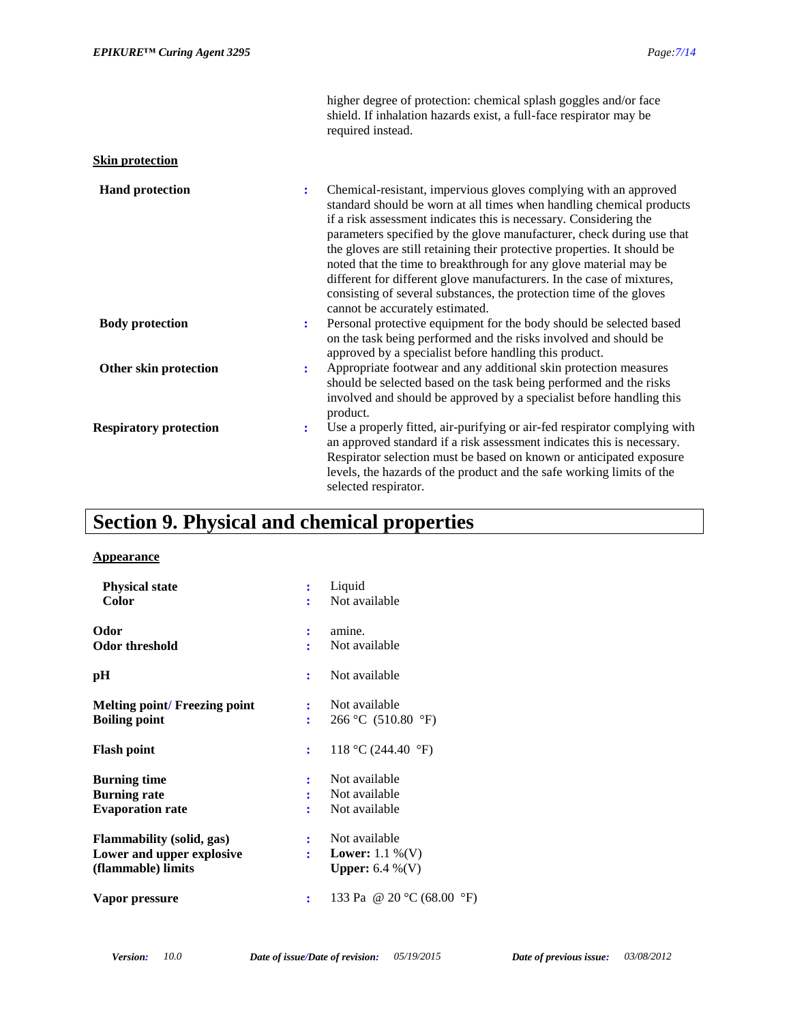|                               | higher degree of protection: chemical splash goggles and/or face<br>shield. If inhalation hazards exist, a full-face respirator may be<br>required instead.                                                                                                                                                                                                                                                                                                                                                                                                                                                                     |
|-------------------------------|---------------------------------------------------------------------------------------------------------------------------------------------------------------------------------------------------------------------------------------------------------------------------------------------------------------------------------------------------------------------------------------------------------------------------------------------------------------------------------------------------------------------------------------------------------------------------------------------------------------------------------|
| <b>Skin protection</b>        |                                                                                                                                                                                                                                                                                                                                                                                                                                                                                                                                                                                                                                 |
| <b>Hand protection</b>        | Chemical-resistant, impervious gloves complying with an approved<br>÷<br>standard should be worn at all times when handling chemical products<br>if a risk assessment indicates this is necessary. Considering the<br>parameters specified by the glove manufacturer, check during use that<br>the gloves are still retaining their protective properties. It should be<br>noted that the time to breakthrough for any glove material may be<br>different for different glove manufacturers. In the case of mixtures,<br>consisting of several substances, the protection time of the gloves<br>cannot be accurately estimated. |
| <b>Body protection</b>        | Personal protective equipment for the body should be selected based<br>$\ddot{\cdot}$<br>on the task being performed and the risks involved and should be<br>approved by a specialist before handling this product.                                                                                                                                                                                                                                                                                                                                                                                                             |
| Other skin protection         | Appropriate footwear and any additional skin protection measures<br>$\ddot{\cdot}$<br>should be selected based on the task being performed and the risks<br>involved and should be approved by a specialist before handling this<br>product.                                                                                                                                                                                                                                                                                                                                                                                    |
| <b>Respiratory protection</b> | Use a properly fitted, air-purifying or air-fed respirator complying with<br>÷<br>an approved standard if a risk assessment indicates this is necessary.<br>Respirator selection must be based on known or anticipated exposure<br>levels, the hazards of the product and the safe working limits of the<br>selected respirator.                                                                                                                                                                                                                                                                                                |

# **Section 9. Physical and chemical properties**

### **Appearance**

| <b>Physical state</b><br>Color                                                      | Liquid<br>Not available                                                    |
|-------------------------------------------------------------------------------------|----------------------------------------------------------------------------|
| Odor<br><b>Odor threshold</b>                                                       | amine.<br>:<br>Not available                                               |
| pН                                                                                  | Not available<br>÷                                                         |
| <b>Melting point/Freezing point</b><br><b>Boiling point</b>                         | Not available<br>÷<br>266 °C (510.80 °F)                                   |
| <b>Flash point</b>                                                                  | 118 °C (244.40 °F)<br>÷                                                    |
| <b>Burning time</b><br><b>Burning rate</b><br><b>Evaporation rate</b>               | Not available<br>Not available<br>Not available                            |
| <b>Flammability (solid, gas)</b><br>Lower and upper explosive<br>(flammable) limits | Not available<br><b>Lower:</b> 1.1 %(V)<br>÷<br><b>Upper:</b> 6.4 $\%$ (V) |
| Vapor pressure                                                                      | 133 Pa @ 20 °C (68.00 °F)<br>፡                                             |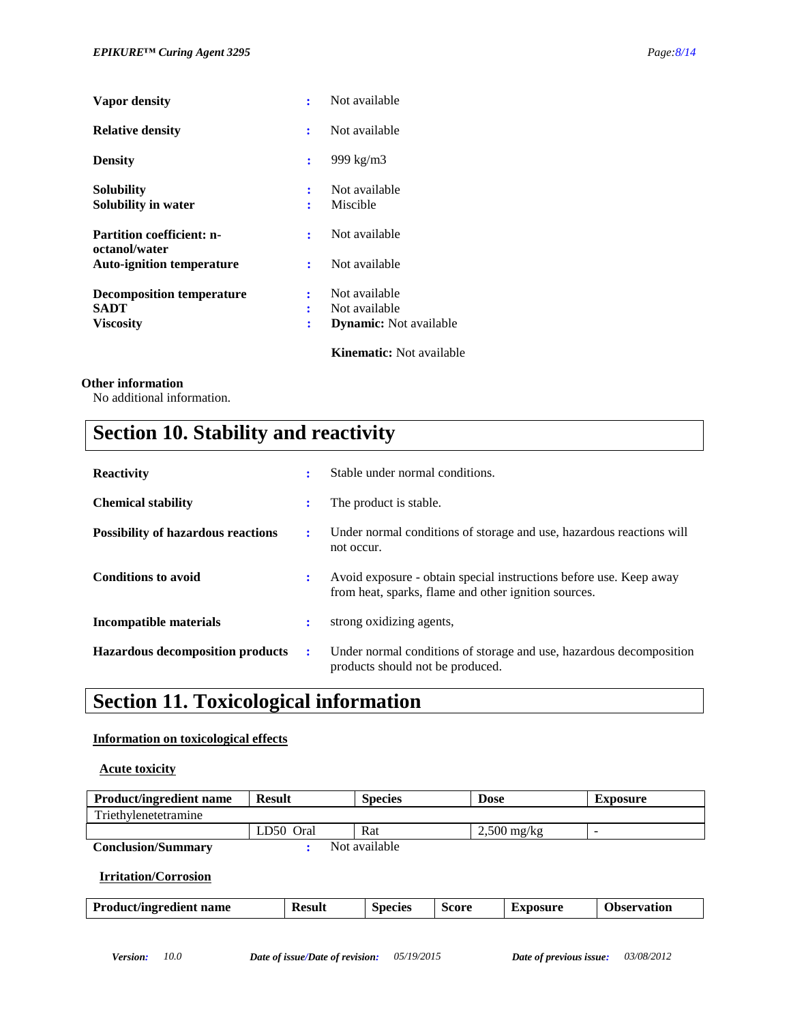| Vapor density                                     | ÷              | Not available                   |
|---------------------------------------------------|----------------|---------------------------------|
| <b>Relative density</b>                           | ÷              | Not available                   |
| <b>Density</b>                                    | ÷              | 999 kg/m3                       |
| <b>Solubility</b><br>Solubility in water          | ÷<br>÷         | Not available<br>Miscible       |
| <b>Partition coefficient: n-</b>                  | ÷              | Not available                   |
| octanol/water<br><b>Auto-ignition temperature</b> | ÷              | Not available                   |
| <b>Decomposition temperature</b><br>SADT          | ÷<br>÷         | Not available<br>Not available  |
| <b>Viscosity</b>                                  | $\ddot{\cdot}$ | <b>Dynamic:</b> Not available   |
|                                                   |                | <b>Kinematic:</b> Not available |

### **Other information**

No additional information.

# **Section 10. Stability and reactivity**

| <b>Reactivity</b>                         | ÷  | Stable under normal conditions.                                                                                            |
|-------------------------------------------|----|----------------------------------------------------------------------------------------------------------------------------|
| <b>Chemical stability</b>                 | ٠. | The product is stable.                                                                                                     |
| <b>Possibility of hazardous reactions</b> | ÷  | Under normal conditions of storage and use, hazardous reactions will<br>not occur.                                         |
| <b>Conditions to avoid</b>                | ÷  | Avoid exposure - obtain special instructions before use. Keep away<br>from heat, sparks, flame and other ignition sources. |
| Incompatible materials                    | ÷  | strong oxidizing agents,                                                                                                   |
| <b>Hazardous decomposition products</b>   | ÷  | Under normal conditions of storage and use, hazardous decomposition<br>products should not be produced.                    |

# **Section 11. Toxicological information**

### **Information on toxicological effects**

### **Acute toxicity**

| <b>Product/ingredient name</b> | <b>Result</b> | <b>Species</b> | <b>Dose</b>   | <b>Exposure</b>          |
|--------------------------------|---------------|----------------|---------------|--------------------------|
| Triethylenetetramine           |               |                |               |                          |
|                                | LD50 Oral     | Rat            | $2,500$ mg/kg | $\overline{\phantom{a}}$ |
| <b>Conclusion/Summary</b>      |               | Not available  |               |                          |

### **Irritation/Corrosion**

| <b>Product/ingredient name</b> | <b>Result</b> | <b>Species</b> | Score | <b>Exposure</b> | <b>Observation</b> |
|--------------------------------|---------------|----------------|-------|-----------------|--------------------|
|                                |               |                |       |                 |                    |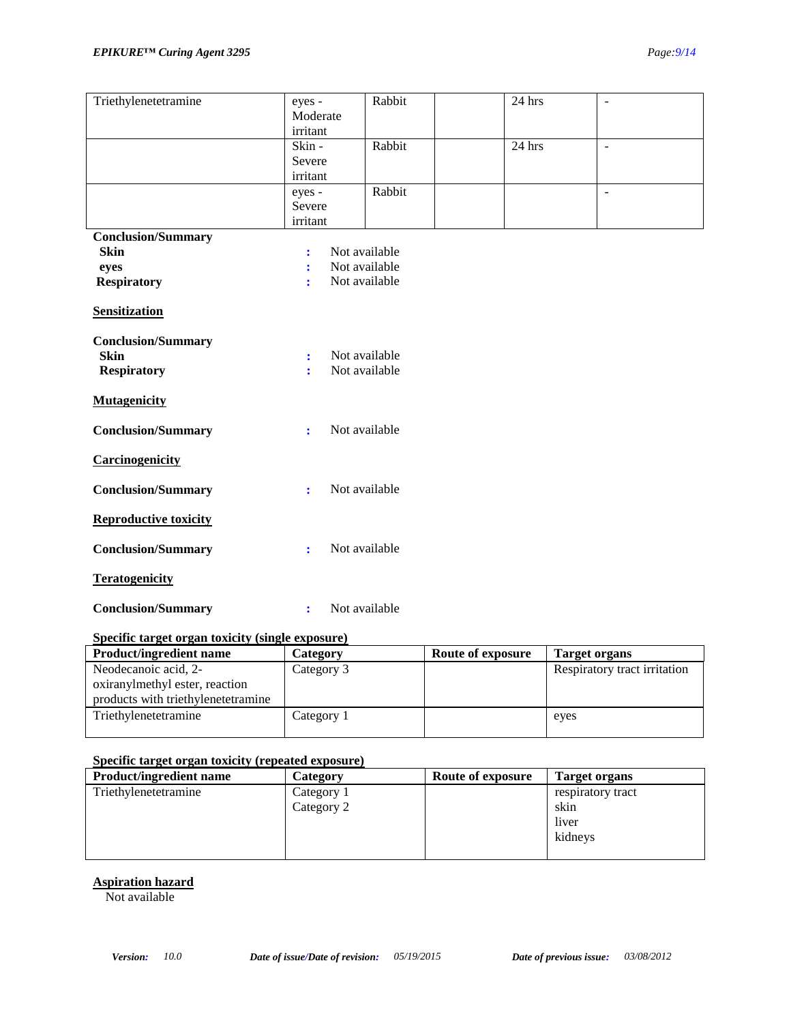| Triethylenetetramine         | eyes -               | Rabbit        | $24$ hrs | $\overline{\phantom{a}}$ |
|------------------------------|----------------------|---------------|----------|--------------------------|
|                              | Moderate             |               |          |                          |
|                              | irritant             |               |          |                          |
|                              |                      | Rabbit        |          |                          |
|                              | Skin-                |               | 24 hrs   | $\overline{\phantom{a}}$ |
|                              | Severe               |               |          |                          |
|                              | irritant             |               |          |                          |
|                              | eyes -               | Rabbit        |          | $\sim$                   |
|                              | Severe               |               |          |                          |
|                              | irritant             |               |          |                          |
|                              |                      |               |          |                          |
| <b>Conclusion/Summary</b>    |                      |               |          |                          |
| <b>Skin</b>                  | ÷                    | Not available |          |                          |
| eyes                         | ÷                    | Not available |          |                          |
| <b>Respiratory</b>           | ÷                    | Not available |          |                          |
|                              |                      |               |          |                          |
| <b>Sensitization</b>         |                      |               |          |                          |
|                              |                      |               |          |                          |
|                              |                      |               |          |                          |
| <b>Conclusion/Summary</b>    |                      |               |          |                          |
| <b>Skin</b>                  | ÷                    | Not available |          |                          |
| <b>Respiratory</b>           | ÷                    | Not available |          |                          |
|                              |                      |               |          |                          |
| <b>Mutagenicity</b>          |                      |               |          |                          |
|                              |                      |               |          |                          |
|                              |                      |               |          |                          |
| <b>Conclusion/Summary</b>    | $\ddot{\phantom{a}}$ | Not available |          |                          |
|                              |                      |               |          |                          |
| Carcinogenicity              |                      |               |          |                          |
|                              |                      |               |          |                          |
| <b>Conclusion/Summary</b>    | ÷                    | Not available |          |                          |
|                              |                      |               |          |                          |
|                              |                      |               |          |                          |
| <b>Reproductive toxicity</b> |                      |               |          |                          |
|                              |                      |               |          |                          |
| <b>Conclusion/Summary</b>    | ÷                    | Not available |          |                          |
|                              |                      |               |          |                          |
| <b>Teratogenicity</b>        |                      |               |          |                          |
|                              |                      |               |          |                          |
|                              |                      |               |          |                          |
| <b>Conclusion/Summary</b>    | ÷                    | Not available |          |                          |

### **Specific target organ toxicity (single exposure)**

| <b>Product/ingredient name</b>                                       | Category   | Route of exposure | Target organs                |
|----------------------------------------------------------------------|------------|-------------------|------------------------------|
| Neodecanoic acid, 2-                                                 | Category 3 |                   | Respiratory tract irritation |
| oxiranylmethyl ester, reaction<br>products with triethylenetetramine |            |                   |                              |
|                                                                      |            |                   |                              |
| Triethylenetetramine                                                 | Category 1 |                   | eyes                         |
|                                                                      |            |                   |                              |

### **Specific target organ toxicity (repeated exposure)**

| <b>Product/ingredient name</b> | <b>Category</b> | Route of exposure | Target organs     |
|--------------------------------|-----------------|-------------------|-------------------|
| Triethylenetetramine           | Category 1      |                   | respiratory tract |
|                                | Category 2      |                   | skin              |
|                                |                 |                   | liver             |
|                                |                 |                   | kidneys           |
|                                |                 |                   |                   |

#### **Aspiration hazard**

Not available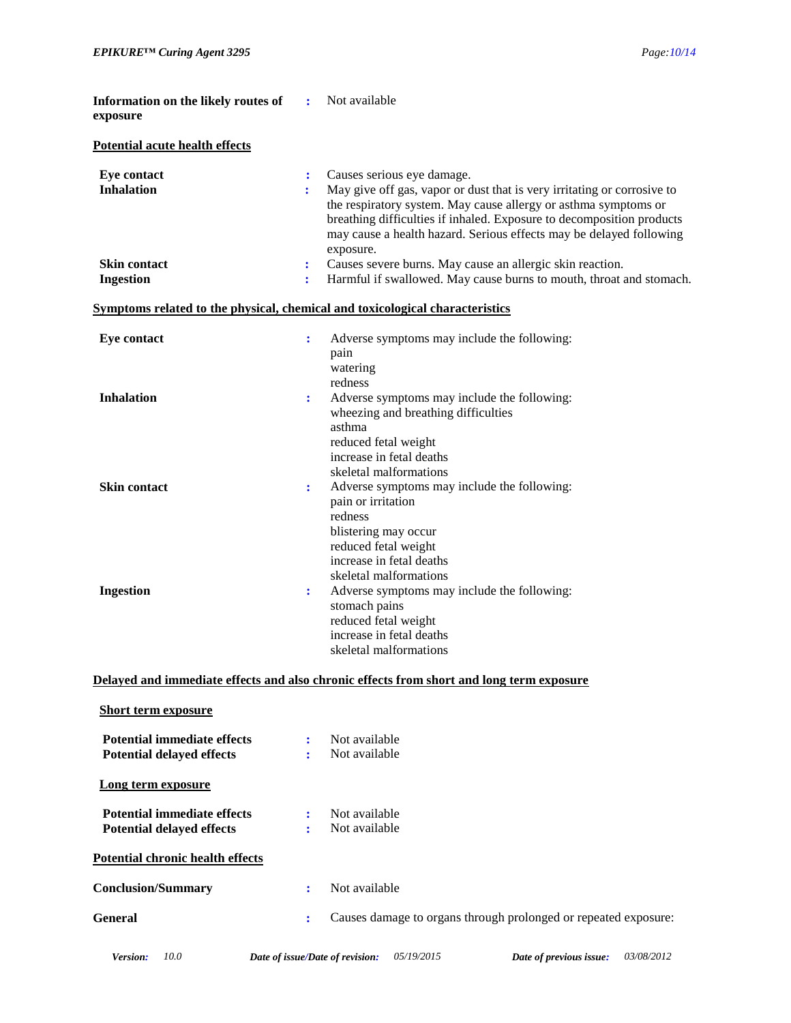|                      | Not available                                                                                                                                                                                                                                     |
|----------------------|---------------------------------------------------------------------------------------------------------------------------------------------------------------------------------------------------------------------------------------------------|
|                      |                                                                                                                                                                                                                                                   |
| ÷<br>÷               | Causes serious eye damage.<br>May give off gas, vapor or dust that is very irritating or corrosive to<br>the respiratory system. May cause allergy or asthma symptoms or<br>breathing difficulties if inhaled. Exposure to decomposition products |
|                      | may cause a health hazard. Serious effects may be delayed following<br>exposure.                                                                                                                                                                  |
| $\ddot{\cdot}$<br>÷  | Causes severe burns. May cause an allergic skin reaction.<br>Harmful if swallowed. May cause burns to mouth, throat and stomach.                                                                                                                  |
|                      | Symptoms related to the physical, chemical and toxicological characteristics                                                                                                                                                                      |
| $\ddot{\cdot}$       | Adverse symptoms may include the following:<br>pain<br>watering                                                                                                                                                                                   |
| $\ddot{\phantom{a}}$ | redness<br>Adverse symptoms may include the following:<br>wheezing and breathing difficulties<br>asthma                                                                                                                                           |
| $\ddot{\phantom{a}}$ | reduced fetal weight<br>increase in fetal deaths<br>skeletal malformations<br>Adverse symptoms may include the following:<br>pain or irritation<br>redness<br>blistering may occur                                                                |
| $\ddot{\cdot}$       | reduced fetal weight<br>increase in fetal deaths<br>skeletal malformations<br>Adverse symptoms may include the following:<br>stomach pains<br>reduced fetal weight<br>increase in fetal deaths<br>skeletal malformations                          |
|                      |                                                                                                                                                                                                                                                   |

#### **Delayed and immediate effects and also chronic effects from short and long term exposure**

| <b>Short term exposure</b>                                             |        |                                                                 |
|------------------------------------------------------------------------|--------|-----------------------------------------------------------------|
| <b>Potential immediate effects</b><br><b>Potential delayed effects</b> | ÷<br>÷ | Not available<br>Not available                                  |
| Long term exposure                                                     |        |                                                                 |
| <b>Potential immediate effects</b><br><b>Potential delayed effects</b> | ÷<br>÷ | Not available<br>Not available                                  |
| <b>Potential chronic health effects</b>                                |        |                                                                 |
| <b>Conclusion/Summary</b>                                              | ÷      | Not available                                                   |
| General                                                                | ÷      | Causes damage to organs through prolonged or repeated exposure: |
|                                                                        |        |                                                                 |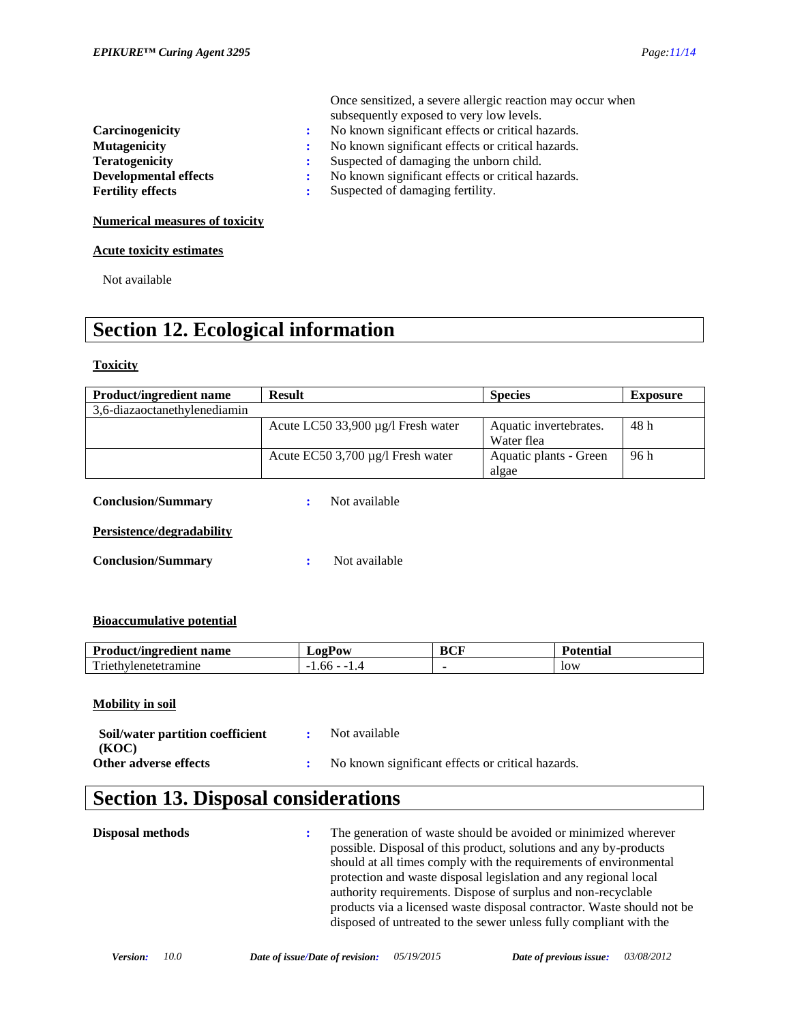|                                       |              | Once sensitized, a severe allergic reaction may occur when |
|---------------------------------------|--------------|------------------------------------------------------------|
|                                       |              | subsequently exposed to very low levels.                   |
| Carcinogenicity                       | $\mathbf{r}$ | No known significant effects or critical hazards.          |
| <b>Mutagenicity</b>                   | ÷            | No known significant effects or critical hazards.          |
| <b>Teratogenicity</b>                 |              | Suspected of damaging the unborn child.                    |
| <b>Developmental effects</b>          | ÷            | No known significant effects or critical hazards.          |
| <b>Fertility effects</b>              | ÷            | Suspected of damaging fertility.                           |
| <b>Numerical measures of toxicity</b> |              |                                                            |

**Acute toxicity estimates**

Not available

# **Section 12. Ecological information**

### **Toxicity**

| <b>Product/ingredient name</b> | <b>Result</b>                           | <b>Species</b>                       | <b>Exposure</b> |  |
|--------------------------------|-----------------------------------------|--------------------------------------|-----------------|--|
| 3,6-diazaoctanethylenediamin   |                                         |                                      |                 |  |
|                                | Acute LC50 33,900 $\mu$ g/l Fresh water | Aquatic invertebrates.<br>Water flea | 48 h            |  |
|                                | Acute EC50 3,700 $\mu$ g/l Fresh water  | Aquatic plants - Green<br>algae      | 96 h            |  |
| <b>Conclusion/Summary</b>      | Not available                           |                                      |                 |  |
| Persistence/degradability      |                                         |                                      |                 |  |
| <b>Conclusion/Summary</b>      | Not available                           |                                      |                 |  |

### **Bioaccumulative potential**

| <b>Product/ingredient</b><br>name | LOgPow                        | <b>BCF</b> | tentıa     |
|-----------------------------------|-------------------------------|------------|------------|
| m<br>∵riethv.<br>vlenetetramıne   | 1.00<br>$ -$<br>$\sim$<br>. . |            | <b>low</b> |

### **Mobility in soil**

| Soil/water partition coefficient | Not available                                       |
|----------------------------------|-----------------------------------------------------|
| (KOC)                            |                                                     |
| Other adverse effects            | : No known significant effects or critical hazards. |

# **Section 13. Disposal considerations**

**Disposal methods :** The generation of waste should be avoided or minimized wherever possible. Disposal of this product, solutions and any by-products should at all times comply with the requirements of environmental protection and waste disposal legislation and any regional local authority requirements. Dispose of surplus and non-recyclable products via a licensed waste disposal contractor. Waste should not be disposed of untreated to the sewer unless fully compliant with the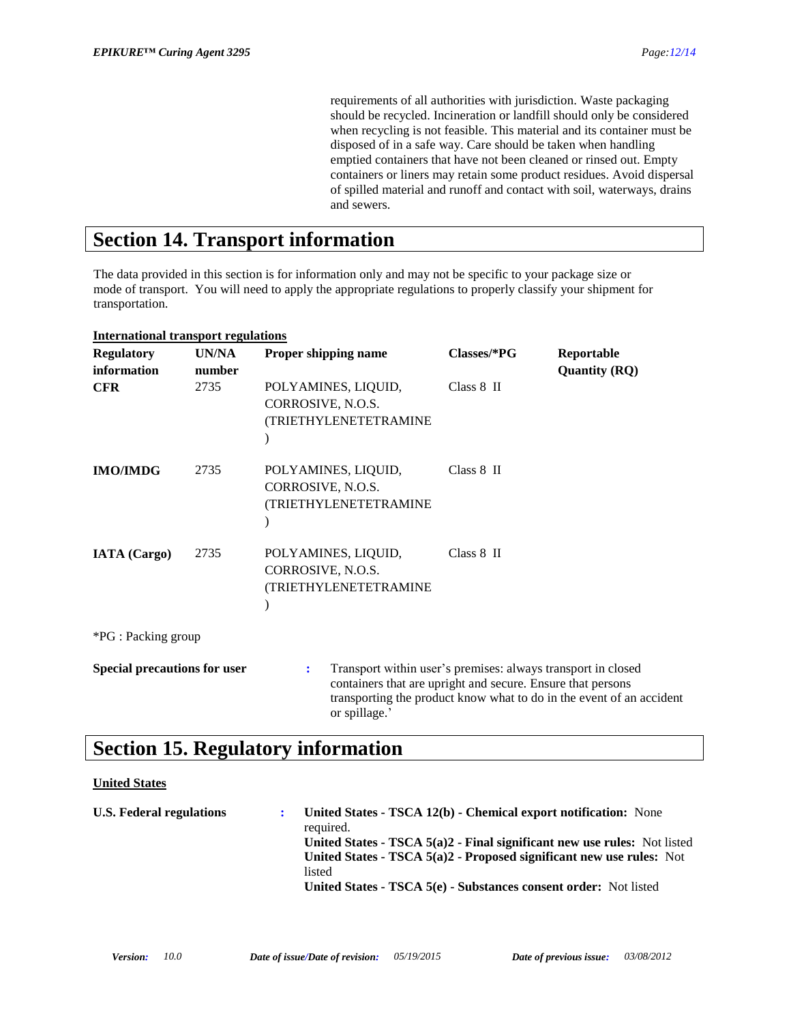requirements of all authorities with jurisdiction. Waste packaging should be recycled. Incineration or landfill should only be considered when recycling is not feasible. This material and its container must be disposed of in a safe way. Care should be taken when handling emptied containers that have not been cleaned or rinsed out. Empty containers or liners may retain some product residues. Avoid dispersal of spilled material and runoff and contact with soil, waterways, drains and sewers.

### **Section 14. Transport information**

The data provided in this section is for information only and may not be specific to your package size or mode of transport. You will need to apply the appropriate regulations to properly classify your shipment for transportation.

| <b>International transport regulations</b> |                 |                                                                                                                                                   |               |                                                                      |
|--------------------------------------------|-----------------|---------------------------------------------------------------------------------------------------------------------------------------------------|---------------|----------------------------------------------------------------------|
| <b>Regulatory</b><br>information           | UN/NA<br>number | Proper shipping name                                                                                                                              | $Classes/*PG$ | Reportable<br><b>Quantity (RQ)</b>                                   |
| <b>CFR</b>                                 | 2735            | POLYAMINES, LIQUID,<br>CORROSIVE, N.O.S.<br>(TRIETHYLENETETRAMINE                                                                                 | $Class 8$ II  |                                                                      |
| <b>IMO/IMDG</b>                            | 2735            | POLYAMINES, LIQUID,<br>CORROSIVE, N.O.S.<br>(TRIETHYLENETETRAMINE                                                                                 | Class 8 II    |                                                                      |
| <b>IATA</b> (Cargo)                        | 2735            | POLYAMINES, LIQUID,<br>CORROSIVE, N.O.S.<br>(TRIETHYLENETETRAMINE                                                                                 | Class 8 II    |                                                                      |
| *PG : Packing group                        |                 |                                                                                                                                                   |               |                                                                      |
| <b>Special precautions for user</b>        |                 | Transport within user's premises: always transport in closed<br>÷<br>containers that are upright and secure. Ensure that persons<br>or spillage.' |               | transporting the product know what to do in the event of an accident |

# **Section 15. Regulatory information**

### **United States**

| <b>U.S. Federal regulations</b> | United States - TSCA 12(b) - Chemical export notification: None<br>required.<br>United States - TSCA $5(a)2$ - Final significant new use rules: Not listed<br>United States - $TSCA 5(a)2$ - Proposed significant new use rules: Not<br>listed<br>United States - TSCA 5(e) - Substances consent order: Not listed |
|---------------------------------|--------------------------------------------------------------------------------------------------------------------------------------------------------------------------------------------------------------------------------------------------------------------------------------------------------------------|
|                                 |                                                                                                                                                                                                                                                                                                                    |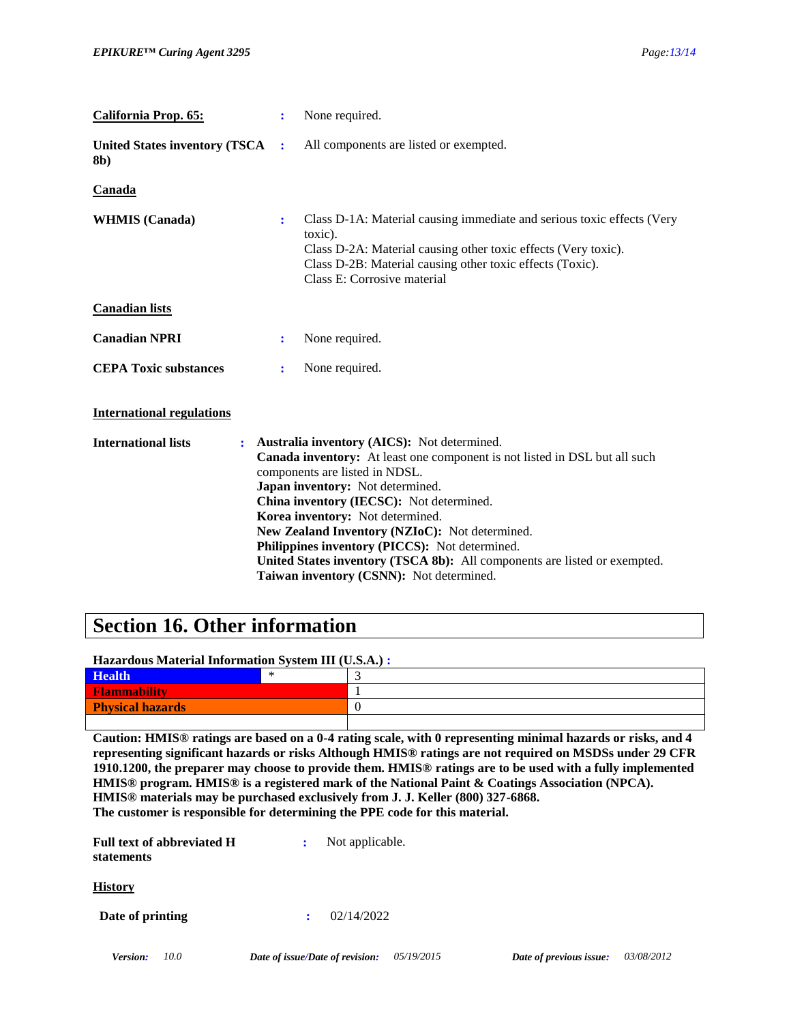| <b>California Prop. 65:</b>                  | ÷ | None required.                                                                                                                                                                                                                                                                                                                                                                                                                                                                                                 |
|----------------------------------------------|---|----------------------------------------------------------------------------------------------------------------------------------------------------------------------------------------------------------------------------------------------------------------------------------------------------------------------------------------------------------------------------------------------------------------------------------------------------------------------------------------------------------------|
| <b>United States inventory (TSCA)</b><br>8b) | ÷ | All components are listed or exempted.                                                                                                                                                                                                                                                                                                                                                                                                                                                                         |
| Canada                                       |   |                                                                                                                                                                                                                                                                                                                                                                                                                                                                                                                |
| <b>WHMIS</b> (Canada)                        | ÷ | Class D-1A: Material causing immediate and serious toxic effects (Very<br>toxic).<br>Class D-2A: Material causing other toxic effects (Very toxic).<br>Class D-2B: Material causing other toxic effects (Toxic).<br>Class E: Corrosive material                                                                                                                                                                                                                                                                |
| <b>Canadian lists</b>                        |   |                                                                                                                                                                                                                                                                                                                                                                                                                                                                                                                |
| <b>Canadian NPRI</b>                         | ÷ | None required.                                                                                                                                                                                                                                                                                                                                                                                                                                                                                                 |
| <b>CEPA Toxic substances</b>                 | ÷ | None required.                                                                                                                                                                                                                                                                                                                                                                                                                                                                                                 |
| <b>International regulations</b>             |   |                                                                                                                                                                                                                                                                                                                                                                                                                                                                                                                |
| <b>International lists</b>                   |   | : Australia inventory (AICS): Not determined.<br>Canada inventory: At least one component is not listed in DSL but all such<br>components are listed in NDSL.<br>Japan inventory: Not determined.<br>China inventory (IECSC): Not determined.<br>Korea inventory: Not determined.<br>New Zealand Inventory (NZIoC): Not determined.<br>Philippines inventory (PICCS): Not determined.<br>United States inventory (TSCA 8b): All components are listed or exempted.<br>Taiwan inventory (CSNN): Not determined. |

### **Section 16. Other information**

### **Hazardous Material Information System III (U.S.A.) :**

| <b>Health</b>           | $\tilde{\phantom{a}}$ |  |
|-------------------------|-----------------------|--|
| <b>Flammability</b>     |                       |  |
| <b>Physical hazards</b> |                       |  |
|                         |                       |  |

**Caution: HMIS® ratings are based on a 0-4 rating scale, with 0 representing minimal hazards or risks, and 4 representing significant hazards or risks Although HMIS® ratings are not required on MSDSs under 29 CFR 1910.1200, the preparer may choose to provide them. HMIS® ratings are to be used with a fully implemented HMIS® program. HMIS® is a registered mark of the National Paint & Coatings Association (NPCA). HMIS® materials may be purchased exclusively from J. J. Keller (800) 327-6868. The customer is responsible for determining the PPE code for this material.**

| <b>Full text of abbreviated H</b><br>statements | Not applicable. |
|-------------------------------------------------|-----------------|
| <b>History</b>                                  |                 |
| Date of printing                                | 02/14/2022      |